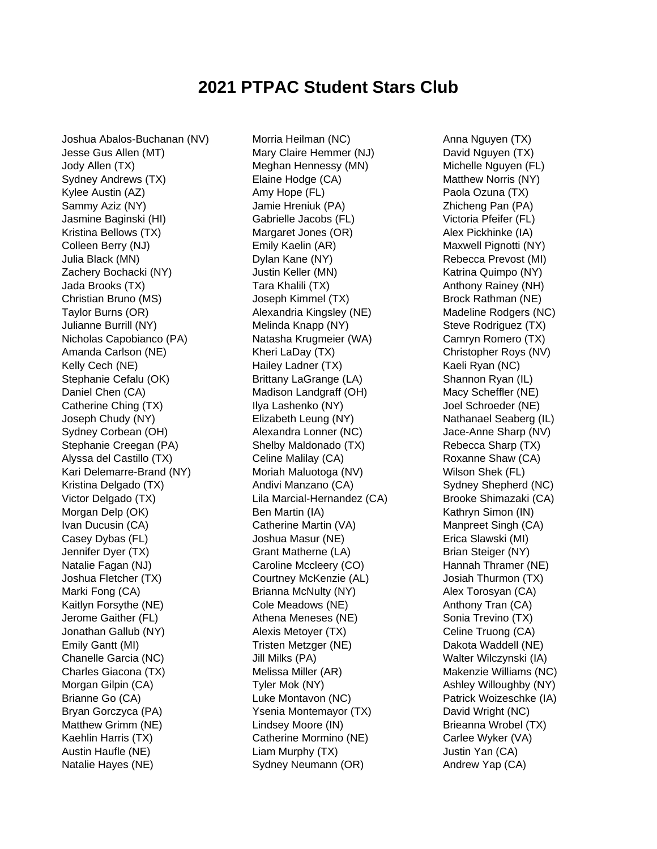## **2021 PTPAC Student Stars Club**

Joshua Abalos-Buchanan (NV) Jesse Gus Allen (MT) Jody Allen (TX) Sydney Andrews (TX) Kylee Austin (AZ) Sammy Aziz (NY) Jasmine Baginski (HI) Kristina Bellows (TX) Colleen Berry (NJ) Julia Black (MN) Zachery Bochacki (NY) Jada Brooks (TX) Christian Bruno (MS) Taylor Burns (OR) Julianne Burrill (NY) Nicholas Capobianco (PA) Amanda Carlson (NE) Kelly Cech (NE) Stephanie Cefalu (OK) Daniel Chen (CA) Catherine Ching (TX) Joseph Chudy (NY) Sydney Corbean (OH) Stephanie Creegan (PA) Alyssa del Castillo (TX) Kari Delemarre-Brand (NY) Kristina Delgado (TX) Victor Delgado (TX) Morgan Delp (OK) Ivan Ducusin (CA) Casey Dybas (FL) Jennifer Dyer (TX) Natalie Fagan (NJ) Joshua Fletcher (TX) Marki Fong (CA) Kaitlyn Forsythe (NE) Jerome Gaither (FL) Jonathan Gallub (NY) Emily Gantt (MI) Chanelle Garcia (NC) Charles Giacona (TX) Morgan Gilpin (CA) Brianne Go (CA) Bryan Gorczyca (PA) Matthew Grimm (NE) Kaehlin Harris (TX) Austin Haufle (NE) Natalie Hayes (NE)

Morria Heilman (NC) Mary Claire Hemmer (NJ) Meghan Hennessy (MN) Elaine Hodge (CA) Amy Hope (FL) Jamie Hreniuk (PA) Gabrielle Jacobs (FL) Margaret Jones (OR) Emily Kaelin (AR) Dylan Kane (NY) Justin Keller (MN) Tara Khalili (TX) Joseph Kimmel (TX) Alexandria Kingsley (NE) Melinda Knapp (NY) Natasha Krugmeier (WA) Kheri LaDay (TX) Hailey Ladner (TX) Brittany LaGrange (LA) Madison Landgraff (OH) Ilya Lashenko (NY) Elizabeth Leung (NY) Alexandra Lonner (NC) Shelby Maldonado (TX) Celine Malilay (CA) Moriah Maluotoga (NV) Andivi Manzano (CA) Lila Marcial-Hernandez (CA) Ben Martin (IA) Catherine Martin (VA) Joshua Masur (NE) Grant Matherne (LA) Caroline Mccleery (CO) Courtney McKenzie (AL) Brianna McNulty (NY) Cole Meadows (NE) Athena Meneses (NE) Alexis Metoyer (TX) Tristen Metzger (NE) Jill Milks (PA) Melissa Miller (AR) Tyler Mok (NY) Luke Montavon (NC) Ysenia Montemayor (TX) Lindsey Moore (IN) Catherine Mormino (NE) Liam Murphy (TX) Sydney Neumann (OR)

Anna Nguyen (TX) David Nguyen (TX) Michelle Nguyen (FL) Matthew Norris (NY) Paola Ozuna (TX) Zhicheng Pan (PA) Victoria Pfeifer (FL) Alex Pickhinke (IA) Maxwell Pignotti (NY) Rebecca Prevost (MI) Katrina Quimpo (NY) Anthony Rainey (NH) Brock Rathman (NE) Madeline Rodgers (NC) Steve Rodriguez (TX) Camryn Romero (TX) Christopher Roys (NV) Kaeli Ryan (NC) Shannon Ryan (IL) Macy Scheffler (NE) Joel Schroeder (NE) Nathanael Seaberg (IL) Jace-Anne Sharp (NV) Rebecca Sharp (TX) Roxanne Shaw (CA) Wilson Shek (FL) Sydney Shepherd (NC) Brooke Shimazaki (CA) Kathryn Simon (IN) Manpreet Singh (CA) Erica Slawski (MI) Brian Steiger (NY) Hannah Thramer (NE) Josiah Thurmon (TX) Alex Torosyan (CA) Anthony Tran (CA) Sonia Trevino (TX) Celine Truong (CA) Dakota Waddell (NE) Walter Wilczynski (IA) Makenzie Williams (NC) Ashley Willoughby (NY) Patrick Woizeschke (IA) David Wright (NC) Brieanna Wrobel (TX) Carlee Wyker (VA) Justin Yan (CA) Andrew Yap (CA)